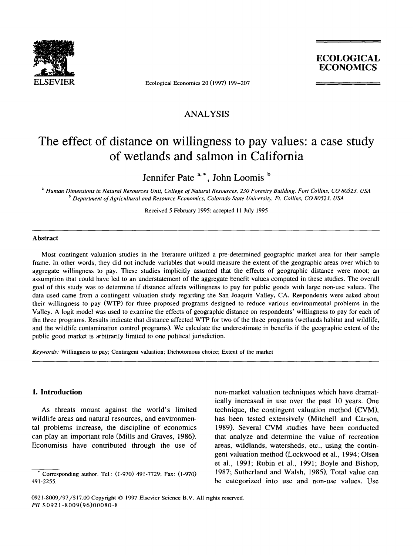

Ecological Economics 20 (1997) 199-207

**ECOLOGICAL ECONOMICS** 

## **ANALYSIS**

# **The effect of distance on willingness to pay values: a case study of wetlands and salmon in California**

Jennifer Pate a,\*, John Loomis **b** 

*a Human Dimensions in Natural Resources Unit, College of Natural Resources, 230 Forestry Building, Fort Collins, CO 80523, USA Department of Agricultural and Resource Economics, Colorado State University, Ft. Collins, CO 80523, USA* 

Received 5 February 1995; accepted 11 July 1995

#### **Abstract**

Most contingent valuation studies in the literature utilized a pre-determined geographic market area for their sample frame. In other words, they did not include variables that would measure the extent of the geographic areas over which to aggregate willingness to pay. These studies implicitly assumed that the effects of geographic distance were moot; an assumption that could have led to an understatement of the aggregate benefit values computed in these studies. The overall goal of this study was to determine if distance affects willingness to pay for public goods with large non-use values. The data used came from a contingent valuation study regarding the San Joaquin Valley, CA. Respondents were asked about their willingness to pay (WTP) for three proposed programs designed to reduce various environmental problems in the Valley. A logit model was used to examine the effects of geographic distance on respondents' willingness to pay for each of the three programs. Results indicate that distance affected WTP for two of the three programs (wetlands habitat and wildlife, and the wildlife contamination control programs). We calculate the underestimate in benefits if the geographic extent of the public good market is arbitrarily limited to one political jurisdiction.

*Keywords:* Willingness to pay; Contingent valuation; Dichotomous choice; Extent of the market

## 1. **Introduction**

As threats mount against the world's limited wildlife areas and natural resources, and environmental problems increase, the discipline of economics can play an important role (Mills and Graves, 1986). Economists have contributed through the use of

non-market valuation techniques which have dramatically increased in use over the past 10 years. One technique, the contingent valuation method (CVM), has been tested extensively (Mitchell and Carson, 1989). Several CVM studies have been conducted that analyze and determine the value of recreation areas, wildlands, watersheds, etc., using the contingent valuation method (Lockwood et al., 1994; Olsen et al., 1991; Rubin et al., 1991; Boyle and Bishop, 1987; Sutherland and Walsh, 1985). Total value can be categorized into use and non-use values. Use

<sup>\*</sup> Corresponding author. Tel.: (1-970) 491-7729; Fax: (1-970) 491-2255.

<sup>0921-8009/97/\$17.00</sup> Copyright © 1997 Elsevier Science B.V. All rights reserved. *PII* S 0921-8009(96)00080-8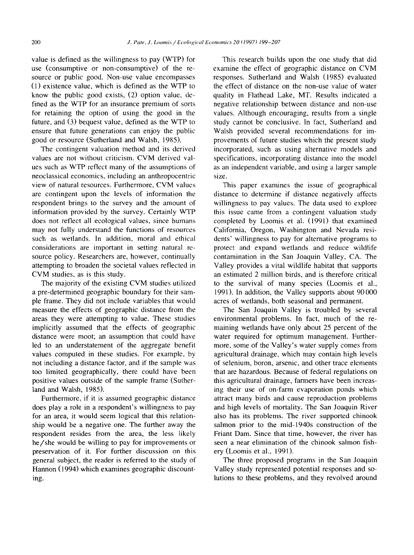value is defined as the willingness to pay (WTP) for use (consumptive or non-consumptive) of the resource or public good. Non-use value encompasses (1) existence value, which is defined as the WTP to know the public good exists, (2) option value, defined as the WTP for an insurance premium of sorts for retaining the option of using the good in the future, and (3) bequest value, defined as the WTP to ensure that future generations can enjoy the public good or resource (Sutherland and Walsh, 1985).

The contingent valuation method and its derived values are not without criticism. CVM derived values such as WTP reflect many of the assumptions of neoclassical economics, including an anthropocentric view of natural resources. Furthermore, CVM values are contingent upon the levels of information the respondent brings to the survey and the amount of information provided by the survey. Certainly WTP does not reflect all ecological values, since humans may not fully understand the functions of resources such as wetlands. In addition, moral and ethical considerations are important in setting natural resource policy. Researchers are, however, continually attempting to broaden the societal values reflected in CVM studies, as is this study.

The majority of the existing CVM studies utilized a pre-determined geographic boundary for their sample frame. They did not include variables that would measure the effects of geographic distance from the areas they were attempting to value. These studies implicitly assumed that the effects of geographic distance were moot; an assumption that could have led to an understatement of the aggregate benefit values computed in these studies. For example, by not including a distance factor, and if the sample was too limited geographically, there could have been positive values outside of the sample frame (Sutherland and Walsh, 1985).

Furthermore, if it is assumed geographic distance does play a role in a respondent's willingness to pay for an area, it would seem logical that this relationship would be a negative one. The further away the respondent resides from the area, the less likely he/she would be willing to pay for improvements or preservation of it. For further discussion on this general subject, the reader is referred to the study of Hannon (1994) which examines geographic discounting.

This research builds upon the one study that did examine the effect of geographic distance on CVM responses. Sutherland and Walsh (1985) evaluated the effect of distance on the non-use value of water quality in Flathead Lake, MT. Results indicated a negative relationship between distance and non-use values. Although encouraging, results from a single study cannot be conclusive. In fact, Sutherland and Walsh provided several recommendations for improvements of future studies which the present study incorporated, such as using alternative models and specifications, incorporating distance into the model as an independent variable, and using a larger sample size.

This paper examines the issue of geographical distance to determine if distance negatively affects willingness to pay values. The data used to explore this issue came from a contingent valuation study completed by Loomis et al. (1991) that examined California, Oregon, Washington and Nevada residents' willingness to pay for alternative programs to protect and expand wetlands and reduce wildlife contamination in the San Joaquin Valley, CA. The Valley provides a vital wildlife habitat that supports an estimated 2 million birds, and is therefore critical to the survival of many species (Loomis et al., 1991). In addition, the Valley supports about 90000 acres of wetlands, both seasonal and permanent.

The San Joaquin Valley is troubled by several environmental problems. In fact, much of the remaining wetlands have only about 25 percent of the water required for optimum management. Furthermore, some of the Valley's water supply comes from agricultural drainage, which may contain high levels of selenium, boron, arsenic, and other trace elements that are hazardous. Because of federal regulations on this agricultural drainage, farmers have been increasing their use of on-farm evaporation ponds which attract many birds and cause reproduction problems and high levels of mortality. The San Joaquin River also has its problems. The river supported chinook salmon prior to the mid-1940s construction of the Friant Dam. Since that time, however, the river has seen a near elimination of the chinook salmon fishery (Loomis et al., 1991).

The three proposed programs in the San Joaquin Valley study represented potential responses and solutions to these problems, and they revolved around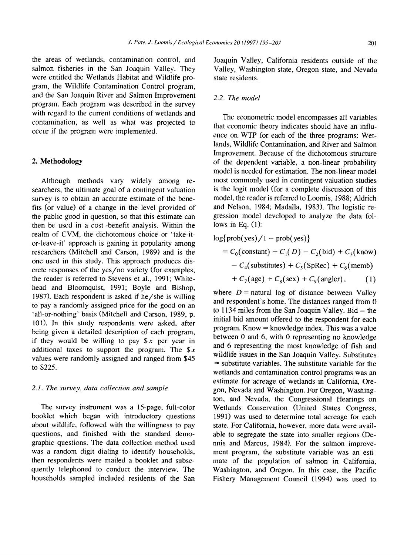the areas of wetlands, contamination control, and salmon fisheries in the San Joaquin Valley. They were entitled the Wetlands Habitat and Wildlife program, the Wildlife Contamination Control program, and the San Joaquin River and Salmon Improvement program. Each program was described in the survey with regard to the current conditions of wetlands and contamination, as well as what was projected to occur if the program were implemented.

### 2. **Methodology**

Although methods vary widely among researchers, the ultimate goal of a contingent valuation survey is to obtain an accurate estimate of the benefits (or value) of a change in the level provided of the public good in question, so that this estimate can then be used in a cost-benefit analysis. Within the realm of CVM, the dichotomous choice or 'take-itor-leave-it' approach is gaining in popularity among researchers (Mitchell and Carson, 1989) and is the one used in this study. This approach produces discrete responses of the yes/no variety (for examples, the reader is referred to Stevens et ai., 1991; Whitehead and Bloomquist, 1991; Boyle and Bishop, 1987). Each respondent is asked if he/she is willing to pay a randomly assigned price for the good on an 'all-or-nothing' basis (Mitchell and Carson, 1989, p. 101). In this study respondents were asked, after being given a detailed description of each program, if they would be willing to pay  $x$  per year in additional taxes to support the program. The  $x$ values were randomly assigned and ranged from \$45 to \$225.

#### *2.1. The survey, data collection and sample*

The survey instrument was a 15-page, full-color booklet which began with introductory questions about wildlife, followed with the willingness to pay questions, and finished with the standard demographic questions. The data collection method used was a random digit dialing to identify households, then respondents were mailed a booklet and subsequently telephoned to conduct the interview. The households sampled included residents of the San

Joaquin Valley, California residents outside of the Valley, Washington state, Oregon state, and Nevada state residents.

## *2.2. The model*

The econometric model encompasses all variables that economic theory indicates should have an influence on WTP for each of the three programs: Wetlands, Wildlife Contamination, and River and Salmon Improvement. Because of the dichotomous structure of the dependent variable, a non-linear probability model is needed for estimation. The non-linear model most commonly used in contingent valuation studies is the logit model (for a complete discussion of this model, the reader is referred to Loomis, 1988; Aldrich and Nelson, 1984; Madalla, 1983). The logistic regression model developed to analyze the data follows in Eq.  $(1)$ .

$$
\log\{\text{prob}(\text{yes})/1 - \text{prob}(\text{yes})\}
$$
  
=  $C_0(\text{constant}) - C_1(D) - C_2(\text{bid}) + C_3(\text{know})$   
-  $C_4(\text{substitutes}) + C_5(\text{Spec}) + C_6(\text{memb})$   
+  $C_7(\text{age}) + C_8(\text{sex}) + C_9(\text{angle}),$  (1)

where  $D$  = natural log of distance between Valley and respondent's home. The distances ranged from 0 to 1134 miles from the San Joaquin Valley. Bid = the initial bid amount offered to the respondent for each program. Know  $=$  knowledge index. This was a value between 0 and 6, with 0 representing no knowledge and 6 representing the most knowledge of fish and wildlife issues in the San Joaquin Valley. Substitutes = substitute variables. The substitute variable for the wetlands and contamination control programs was an estimate for acreage of wetlands in California, Oregon, Nevada and Washington. For Oregon, Washington, and Nevada, the Congressional Hearings on Wetlands Conservation (United States Congress, 1991) was used to determine total acreage for each state. For California, however, more data were available to segregate the state into smaller regions (Dennis and Marcus, 1984). For the salmon improvement program, the substitute variable was an estimate of the population of salmon in California, Washington, and Oregon. In this case, the Pacific Fishery Management Council (1994) was used to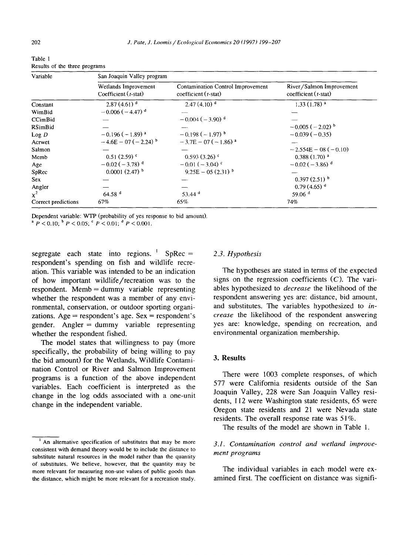| ×  |         |  |
|----|---------|--|
| ۰. | ×<br>۰, |  |

| Variable            | San Joaquin Valley program                      |                                                                    |                                                    |  |  |
|---------------------|-------------------------------------------------|--------------------------------------------------------------------|----------------------------------------------------|--|--|
|                     | Wetlands Improvement<br>Coefficient $(t$ -stat) | <b>Contamination Control Improvement</b><br>$coefficient (t-stat)$ | River/Salmon Improvement<br>$coefficient (t-stat)$ |  |  |
| Constant            | $2.87(4.61)^d$                                  | $2.47(4.10)^{d}$                                                   | $1.33(1.78)$ <sup>a</sup>                          |  |  |
| WimBid              | $-0.006(-4.47)^d$                               |                                                                    |                                                    |  |  |
| CCimBid             |                                                 | $-0.004(-3.90)^d$                                                  |                                                    |  |  |
| <b>RSimBid</b>      |                                                 |                                                                    | $-0.005(-2.02)^{b}$                                |  |  |
| Log D               | $-0.196(-1.89)^{a}$                             | $-0.198(-1.97)^{b}$                                                | $-0.039(-0.35)$                                    |  |  |
| Acrwet              | $-4.6E - 07(-2.24)$ <sup>b</sup>                | $-3.7E - 07(-1.86)^{a}$                                            |                                                    |  |  |
| Salmon              |                                                 |                                                                    | $-2.554E - 08(-0.10)$                              |  |  |
| Memb                | $0.51(2.59)$ <sup>c</sup>                       | 0.593(3.26)                                                        | $0.388(1.70)^{a}$                                  |  |  |
| Age                 | $-0.02(-3.78)^d$                                | $-0.01(-3.04)^c$                                                   | $-0.02(-3.86)^d$                                   |  |  |
| <b>SpRec</b>        | $0.0001(2.47)$ <sup>b</sup>                     | $9.25E - 05(2.31)^{b}$                                             |                                                    |  |  |
| <b>Sex</b>          |                                                 |                                                                    | $0.397(2.51)$ <sup>b</sup>                         |  |  |
| Angler              |                                                 |                                                                    | $0.79(4.65)^d$                                     |  |  |
| $x^2$               | 64.58 <sup>d</sup>                              | 53.44 <sup>d</sup>                                                 | 59.06 $d$                                          |  |  |
| Correct predictions | 67%                                             | 65%                                                                | 74%                                                |  |  |

Table 1 Results of the three programs

Dependent variable: WTP (probability of yes response to bid amount).

<sup>a</sup>  $P < 0.10$ ; <sup>b</sup>  $P < 0.05$ ; <sup>c</sup>  $P < 0.01$ ; <sup>d</sup>  $P < 0.001$ .

segregate each state into regions.  $\frac{1}{1}$  SpRec = respondent's spending on fish and wildlife recreation. This variable was intended to be an indication of how important wildlife/recreation was to the respondent. Memb  $=$  dummy variable representing whether the respondent was a member of any environmental, conservation, or outdoor sporting organizations. Age  $=$  respondent's age. Sex  $=$  respondent's gender. Angler = dummy variable representing whether the respondent fished.

The model states that willingness to pay (more specifically, the probability of being willing to pay the bid amount) for the Wetlands, Wildlife Contamination Control or River and Salmon Improvement programs is a function of the above independent variables. Each coefficient is interpreted as the change in the log odds associated with a one-unit change in the independent variable.

## *2.3. Hypothesis*

The hypotheses are stated in terms of the expected signs on the regression coefficients  $(C)$ . The variables hypothesized to *decrease* the likelihood of the respondent answering yes are: distance, bid amount, and substitutes. The variables hypothesized to *increase* the likelihood of the respondent answering yes are: knowledge, spending on recreation, and environmental organization membership.

## **3. Results**

There were 1003 complete responses, of which 577 were California residents outside of the San Joaquin Valley, 228 were San Joaquin Valley residents, 112 were Washington state residents, 65 were Oregon state residents and 21 were Nevada state residents. The overall response rate was 51%.

The results of the model are shown in Table I.

## *3.1. Contamination control and wetland improvement programs*

The individual variables in each model were examined first. The coefficient on distance was signifi-

<sup>&</sup>lt;sup>1</sup> An alternative specification of substitutes that may be more consistent with demand theory would be to include the distance to substitute natural resources in the model rather than the quantity of substitutes. We believe, however, that the quantity may be more relevant for measuring non-use values of public goods than the distance, which might be more relevant for a recreation study.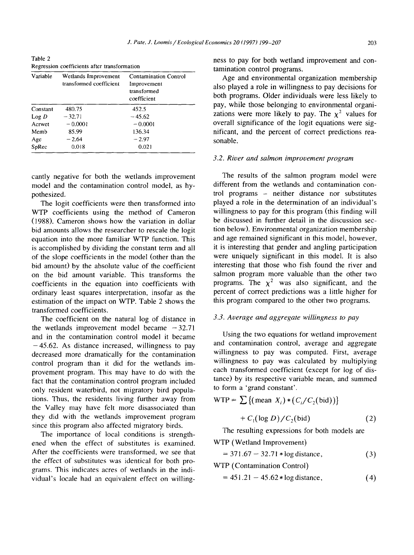Table 2 Regression coefficients after transformation

| Variable | Wetlands Improvement<br>transformed coefficient | <b>Contamination Control</b><br>Improvement<br>transformed<br>coefficient |  |
|----------|-------------------------------------------------|---------------------------------------------------------------------------|--|
| Constant | 480.75                                          | 452.5                                                                     |  |
| Log D    | $-32.71$                                        | $-45.62$                                                                  |  |
| Acrwet   | $-0.0001$                                       | $-0.0001$                                                                 |  |
| Memh     | 85.99                                           | 136.34                                                                    |  |
| Age      | $-2.64$                                         | $-2.97$                                                                   |  |
| SpRec    | 0.018                                           | 0.021                                                                     |  |

cantly negative for both the wetlands improvement model and the contamination control model, as hypothesized.

The logit coefficients were then transformed into WTP coefficients using the method of Cameron (1988). Cameron shows how the variation in dollar bid amounts allows the researcher to rescale the logit equation into the more familiar WTP function. This is accomplished by dividing the constant term and all of the slope coefficients in the model (other than the bid amount) by the absolute value of the coefficient on the bid amount variable. This transforms the coefficients in the equation into coefficients with ordinary least squares interpretation, insofar as the estimation of the impact on WTP. Table 2 shows the transformed coefficients.

The coefficient on the natural log of distance in the wetlands improvement model became  $-32.71$ and in the contamination control model it became  $-45.62$ . As distance increased, willingness to pay decreased more dramatically for the contamination control program than it did for the wetlands improvement program. This may have to do with the fact that the contamination control program included only resident waterbird, not migratory bird populations. Thus, the residents living further away from the Valley may have felt more disassociated than they did with the wetlands improvement program since this program also affected migratory birds.

The importance of local conditions is strengthened when the effect of substitutes is examined. After the coefficients were transformed, we see that the effect of substitutes was identical for both programs. This indicates acres of wetlands in the individual's locale had an equivalent effect on willingness to pay for both wetland improvement and contamination control programs.

Age and environmental organization membership also played a role in willingness to pay decisions for both programs. Older individuals were less likely to pay, while those belonging to environmental organizations were more likely to pay. The  $\chi^2$  values for overall significance of the logit equations were significant, and the percent of correct predictions reasonable.

## *3.2. River and salmon improvement program*

The results of the salmon program model were different from the wetlands and contamination control programs - neither distance nor substitutes played a role in the determination of an individual's willingness to pay for this program (this finding will be discussed in further detail in the discussion section below). Environmental organization membership and age remained significant in this model, however, it is interesting that gender and angling participation were uniquely significant in this model. It is also interesting that those who fish found the fiver and salmon program more valuable than the other two programs. The  $\chi^2$  was also significant, and the percent of correct predictions was a little higher for this program compared to the other two programs.

#### *3.3. Average and aggregate willingness to pay*

Using the two equations for wetland improvement and contamination control, average and aggregate willingness to pay was computed. First, average willingness to pay was calculated by multiplying each transformed coefficient (except for log of distance) by its respective variable mean, and summed to form a 'grand constant'.

$$
WTP = \sum \{ (\text{mean } X_i) * (C_i/C_2(\text{bid})) \}
$$

$$
+ C_1(\log D) / C_2(\text{bid}) \tag{2}
$$

The resulting expressions for both models are

WTP (Wetland Improvement)

$$
= 371.67 - 32.71 * log distance,
$$
 (3)

WTP (Contamination Control)

$$
= 451.21 - 45.62 * log distance, \tag{4}
$$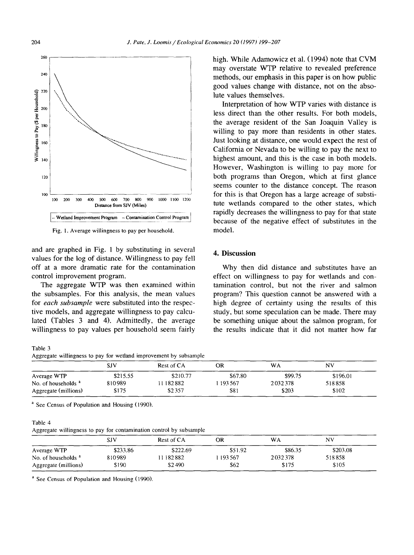

Fig. 1. Average willingness to pay per household.

and are graphed in Fig. 1 by substituting in several values for the log of distance. Willingness to pay fell off at a more dramatic rate for the contamination control improvement program.

The aggregate WTP was then examined within the subsamples. For this analysis, the mean values for *each subsample* were substituted into the respective models, and aggregate willingness to pay calculated (Tables 3 and 4). Admittedly, the average willingness to pay values per household seem fairly

Table 3 Aggregate willingness to pay for wetland improvement by subsample high. While Adamowicz et al. (1994) note that CVM may overstate WTP relative to revealed preference methods, our emphasis in this paper is on how public good values change with distance, not on the absolute values themselves.

Interpretation of how WTP varies with distance is less direct than the other results. For both models, the average resident of the San Joaquin Valley is willing to pay more than residents in other states. Just looking at distance, one would expect the rest of California or Nevada to be willing to pay the next to highest amount, and this is the case in both models. However, Washington is willing to pay more for both programs than Oregon, which at first glance seems counter to the distance concept. The reason for this is that Oregon has a large acreage of substitute wetlands compared to the other states, which rapidly decreases the willingness to pay for that state because of the negative effect of substitutes in the model.

### **4. Discussion**

Why then did distance and substitutes have an effect on willingness to pay for wetlands and contamination control, but not the river and salmon program? This question cannot be answered with a high degree of certainty using the results of this study, but some speculation can be made. There may be something unique about the salmon program, for the results indicate that it did not matter how far

|                                | SJV      | Rest of CA | OR      | WA      | NV       |
|--------------------------------|----------|------------|---------|---------|----------|
| Average WTP                    | \$215.55 | \$210.77   | \$67.80 | \$99.75 | \$196.01 |
| No. of households <sup>a</sup> | 810989   | 1182882    | 193567  | 2032378 | 518858   |
| Aggregate (millions)           | \$175    | \$2357     | \$81    | \$203   | \$102    |

 $a$  See Census of Population and Housing (1990).

#### Table 4

Aggregate willingness to pay for contamination control by subsample

|                                | SJV      | Rest of CA | OR      | <b>WA</b> | NV       |  |
|--------------------------------|----------|------------|---------|-----------|----------|--|
| Average WTP                    | \$233.86 | \$222.69   | \$51.92 | \$86.35   | \$203.08 |  |
| No. of households <sup>a</sup> | 810989   | 1182882    | 193567  | 2032378   | 518858   |  |
| Aggregate (millions)           | \$190    | \$2490     | \$62    | \$175     | \$105    |  |

<sup>a</sup> See Census of Population and Housing (1990).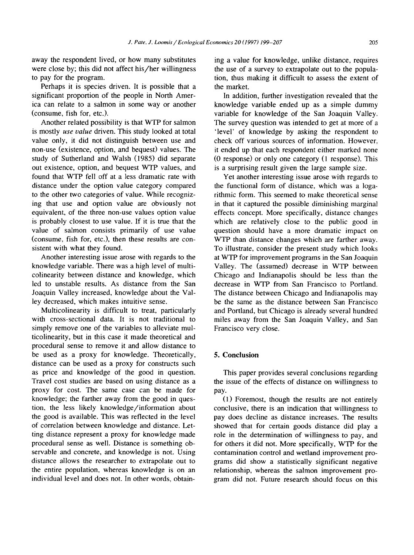away the respondent lived, or how many substitutes were close by; this did not affect his/her willingness to pay for the program.

Perhaps it is species driven. It is possible that a significant proportion of the people in North America can relate to a salmon in some way or another (consume, fish for, etc.).

Another related possibility is that WTP for salmon is mostly *use value* driven. This study looked at total value only, it did not distinguish between use and non-use (existence, option, and bequest) values. The study of Sutherland and Walsh (1985) did separate out existence, option, and bequest WTP values, and found that WTP fell off at a less dramatic rate with distance under the option value category compared to the other two categories of value. While recognizing that use and option value are obviously not equivalent, of the three non-use values option value is probably closest to use value. If it is true that the value of salmon consists primarily of use value (consume, fish for, etc.), then these results are consistent with what they found.

Another interesting issue arose with regards to the knowledge variable. There was a high level of multicolinearity between distance and knowledge, which led to unstable results. As distance from the San Joaquin Valley increased, knowledge about the Valley decreased, which makes intuitive sense.

Multicolinearity is difficult to treat, particularly with cross-sectional data. It is not traditional to simply remove one of the variables to alleviate multicolinearity, but in this case it made theoretical and procedural sense to remove it and allow distance to be used as a proxy for knowledge. Theoretically, distance can be used as a proxy for *constructs* such as price and knowledge of the good in question. Travel cost studies are based on using distance as a proxy for cost. The same case can be made for knowledge; the farther away from the good in question, the less likely knowledge/information about the good is available. This was reflected in the level of correlation between knowledge and distance. Letting distance represent a proxy for knowledge made procedural sense as well. Distance is something observable and concrete, and knowledge is not, Using distance allows the researcher to extrapolate out to the entire population, whereas knowledge is on an individual level and does not. In other words, obtaining a value for knowledge, unlike distance, requires the use of a survey to extrapolate out to the population, thus making it difficult to assess the extent of the market.

In addition, further investigation revealed that the knowledge variable ended up as a simple dummy variable for knowledge of the San Joaquin Valley. The survey question was intended to get at more of a 'level' of knowledge by asking the respondent to check off various sources of information. However, it ended up that each respondent either marked none (0 response) or only one category (1 response). This is a surprising result given the large sample size.

Yet another interesting issue arose with regards to the functional form of distance, which was a logarithmic form. This seemed to make theoretical sense in that it captured the possible diminishing marginal effects concept. More specifically, distance changes which are relatively close to the public good in question should have a more dramatic impact on WTP than distance changes which are farther away. To illustrate, consider the present study which looks at WTP for improvement programs in the San Joaquin Valley. The (assumed) decrease in WTP between Chicago and Indianapolis should be less than the decrease in WTP from San Francisco to Portland. The distance between Chicago and Indianapolis may be the same as the distance between San Francisco and Portland, but Chicago is already several hundred miles away from the San Joaquin Valley, and San Francisco very close.

## **5. Conclusion**

This paper provides several conclusions regarding the issue of the effects of distance on willingness to pay.

(1) Foremost, though the results are not entirely conclusive, there is an indication that willingness to pay does decline as distance increases. The results showed that for certain goods distance did play a role in the determination of willingness to pay, and for others it did not. More specifically, WTP for the contamination control and wetland improvement programs did show a statistically significant negative relationship, whereas the salmon improvement program did not. Future research should focus on this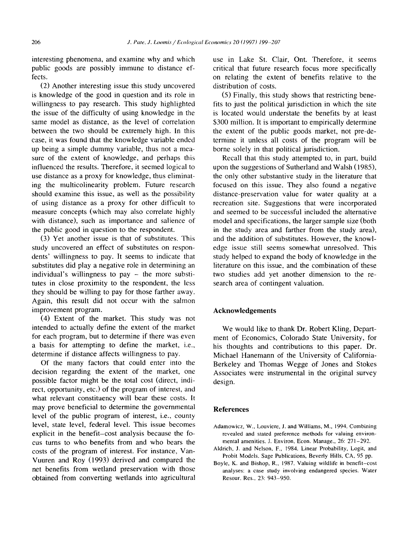interesting phenomena, and examine why and which public goods are possibly immune to distance effects.

(2) Another interesting issue this study uncovered is knowledge of the good in question and its role in willingness to pay research. This study highlighted the issue of the difficulty of using knowledge in the same model as distance, as the level of correlation between the two should be extremely high. In this case, it was found that the knowledge variable ended up being a simple dummy variable, thus not a measure of the extent of knowledge, and perhaps this influenced the results. Therefore, it seemed logical to use distance as a proxy for knowledge, thus eliminating the multicolinearity problem. Future research should examine this issue, as well as the possibility of using distance as a proxy for other difficult to measure concepts (which may also correlate highly with distance), such as importance and salience of the public good in question to the respondent.

(3) Yet another issue is that of substitutes. This study uncovered an effect of substitutes on respondents' willingness to pay. It seems to indicate that substitutes did play a negative role in determining an individual's willingness to pay - the more substitutes in close proximity to the respondent, the less they should be willing to pay for those farther away. Again, this result did not occur with the salmon improvement program.

(4) Extent of the market. This study was not intended to actually define the extent of the market for each program, but to determine if there was even a basis for attempting to define the market, i.e., determine if distance affects willingness to pay.

Of the many factors that could enter into the decision regarding the extent of the market, one possible factor might be the total cost (direct, indirect, opportunity, etc.) of the program of interest, and what relevant constituency will bear these costs. It may prove beneficial to determine the governmental level of the public program of interest, i.e., county level, state level, federal level. This issue becomes explicit in the benefit-cost analysis because the focus turns to who benefits from and who bears the costs of the program of interest. For instance, Van-Vuuren and Roy (1993) derived and compared the net benefits from wetland preservation with those obtained from converting wetlands into agricultural use in Lake St. Clair, Ont. Therefore, it seems critical that future research focus more specifically on relating the extent of benefits relative to the distribution of costs.

(5) Finally, this study shows that restricting benefits to just the political jurisdiction in which the site is located would understate the benefits by at least \$300 million. It is important to empirically determine the extent of the public goods market, not pre-determine it unless all costs of the program will be borne solely in that political jurisdiction.

Recall that this study attempted to, in part, build upon the suggestions of Sutherland and Walsh (1985), the only other substantive study in the literature that focused on this issue. They also found a negative distance-preservation value for water quality at a recreation site. Suggestions that were incorporated and seemed to be successful included the alternative model and specifications, the larger sample size (both in the study area and farther from the study area), and the addition of substitutes. However, the knowledge issue still seems somewhat unresolved. This study helped to expand the body of knowledge in the literature on this issue, and the combination of these two studies add yet another dimension to the research area of contingent valuation.

## **Acknowledgements**

We would like to thank Dr. Robert Kling, Department of Economics, Colorado State University, for his thoughts and contributions to this paper. Dr. Michael Hanemann of the University of California-Berkeley and Thomas Wegge of Jones and Stokes Associates were instrumental in the original survey design.

#### **References**

- Adamowicz, W., Louviere, J. and Williams, M., 1994. Combining revealed and stated preference methods for valuing environmental amenities. J. Environ. Econ. Manage., 26: 271-292.
- Aldrich, J. and Nelson, F., 1984. Linear Probability, Logit, and Probit Models. Sage Publications, Beverly Hills, CA, 95 pp.
- Boyle, K. and Bishop, R., 1987. Valuing wildlife in benefit-cost analyses: a case study involving endangered species. Water Resour. Res., 23: 943-950.